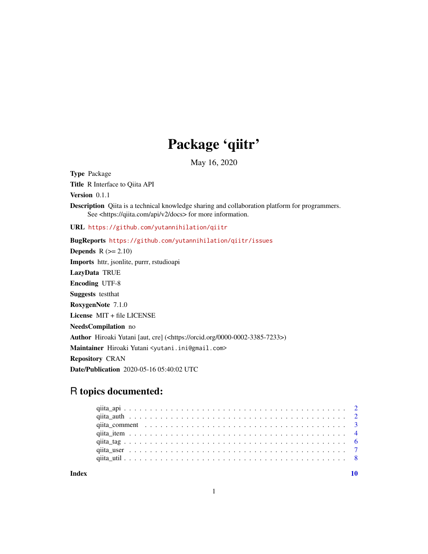## Package 'qiitr'

May 16, 2020

<span id="page-0-0"></span>Type Package Title R Interface to Qiita API

Version 0.1.1

Description Qiita is a technical knowledge sharing and collaboration platform for programmers. See <https://qiita.com/api/v2/docs> for more information.

URL <https://github.com/yutannihilation/qiitr>

BugReports <https://github.com/yutannihilation/qiitr/issues> **Depends**  $R$  ( $>= 2.10$ ) Imports httr, jsonlite, purrr, rstudioapi LazyData TRUE Encoding UTF-8 Suggests testthat RoxygenNote 7.1.0 License MIT + file LICENSE NeedsCompilation no Author Hiroaki Yutani [aut, cre] (<https://orcid.org/0000-0002-3385-7233>) Maintainer Hiroaki Yutani <yutani.ini@gmail.com> Repository CRAN Date/Publication 2020-05-16 05:40:02 UTC

### R topics documented:

 $\blacksquare$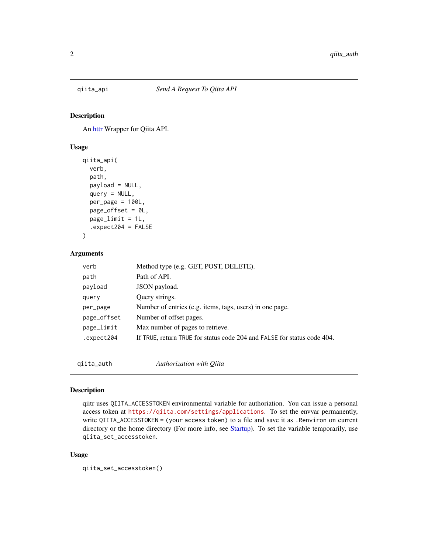<span id="page-1-0"></span>

An [httr](#page-0-0) Wrapper for Qiita API.

#### Usage

```
qiita_api(
  verb,
  path,
 payload = NULL,
  query = NULL,per\_page = 100L,
  page_{offset} = 0L,
 page_limit = 1L,
  .expect204 = FALSE
)
```
#### Arguments

| verb        | Method type (e.g. GET, POST, DELETE).                                   |
|-------------|-------------------------------------------------------------------------|
| path        | Path of API.                                                            |
| payload     | JSON payload.                                                           |
| query       | Query strings.                                                          |
| per_page    | Number of entries (e.g. items, tags, users) in one page.                |
| page_offset | Number of offset pages.                                                 |
| page_limit  | Max number of pages to retrieve.                                        |
| expect204.  | If TRUE, return TRUE for status code 204 and FALSE for status code 404. |
|             |                                                                         |

qiita\_auth *Authorization with Qiita*

#### Description

qiitr uses QIITA\_ACCESSTOKEN environmental variable for authoriation. You can issue a personal access token at <https://qiita.com/settings/applications>. To set the envvar permanently, write QIITA\_ACCESSTOKEN = (your access token) to a file and save it as .Renviron on current directory or the home directory (For more info, see [Startup\)](#page-0-0). To set the variable temporarily, use qiita\_set\_accesstoken.

#### Usage

qiita\_set\_accesstoken()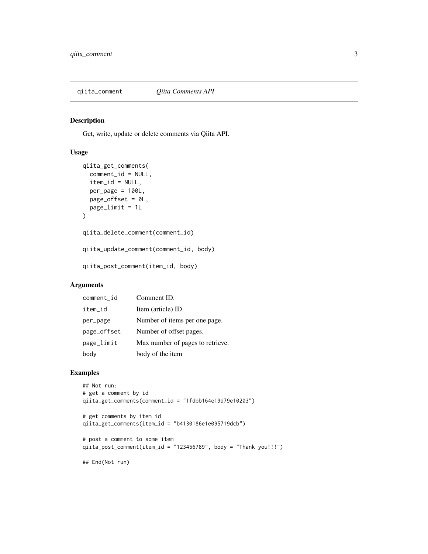<span id="page-2-0"></span>

Get, write, update or delete comments via Qiita API.

#### Usage

```
qiita_get_comments(
 comment_id = NULL,
  item_id = NULL,
 per\_page = 100L,
 page_offset = 0L,
 page_limit = 1L
)
qiita_delete_comment(comment_id)
qiita_update_comment(comment_id, body)
qiita_post_comment(item_id, body)
```
#### Arguments

| comment_id  | Comment ID.                      |
|-------------|----------------------------------|
| item_id     | Item (article) ID.               |
| per_page    | Number of items per one page.    |
| page_offset | Number of offset pages.          |
| page_limit  | Max number of pages to retrieve. |
| body        | body of the item                 |

#### Examples

```
## Not run:
# get a comment by id
qiita_get_comments(comment_id = "1fdbb164e19d79e10203")
# get comments by item id
qiita_get_comments(item_id = "b4130186e1e095719dcb")
```

```
# post a comment to some item
qiita_post_comment(item_id = "123456789", body = "Thank you!!!")
```
## End(Not run)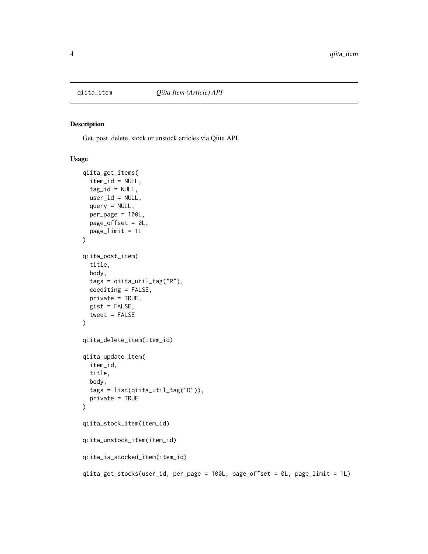<span id="page-3-0"></span>

Get, post, delete, stock or unstock articles via Qiita API.

#### Usage

```
qiita_get_items(
  item_id = NULL,
  tag_id = NULL,user_id = NULL,query = NULL,
  per\_page = 100L,
 page_offset = 0L,
 page_limit = 1L
)
qiita_post_item(
  title,
  body,
  tags = qiita_util_tag("R"),
  coediting = FALSE,
 private = TRUE,
 gist = FALSE,
  tweet = FALSE)
qiita_delete_item(item_id)
qiita_update_item(
  item_id,
  title,
 body,
  tags = list(qiita_util_tag("R")),
  private = TRUE
)
qiita_stock_item(item_id)
qiita_unstock_item(item_id)
qiita_is_stocked_item(item_id)
qiita_get_stocks(user_id, per_page = 100L, page_offset = 0L, page_limit = 1L)
```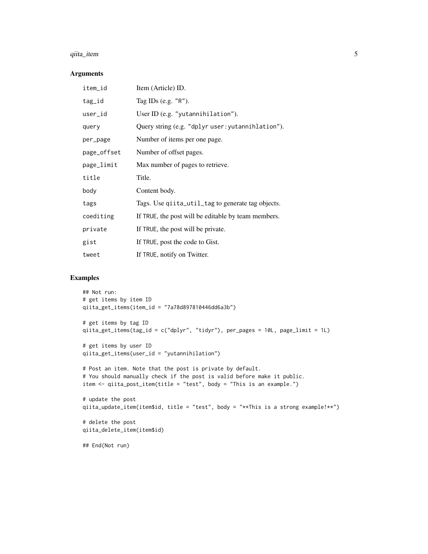#### qiita\_item 5

#### Arguments

| item_id     | Item (Article) ID.                                  |
|-------------|-----------------------------------------------------|
| tag_id      | Tag IDs (e.g. $"R"$ ).                              |
| user_id     | User ID (e.g. "yutannihilation").                   |
| query       | Query string (e.g. "dplyr user: yutannihlation").   |
| per_page    | Number of items per one page.                       |
| page_offset | Number of offset pages.                             |
| page_limit  | Max number of pages to retrieve.                    |
| title       | Title.                                              |
| body        | Content body.                                       |
| tags        | Tags. Use qiita_util_tag to generate tag objects.   |
| coediting   | If TRUE, the post will be editable by team members. |
| private     | If TRUE, the post will be private.                  |
| gist        | If TRUE, post the code to Gist.                     |
| tweet       | If TRUE, notify on Twitter.                         |

#### Examples

```
## Not run:
# get items by item ID
qiita_get_items(item_id = "7a78d897810446dd6a3b")
# get items by tag ID
qiita_get_items(tag_id = c("dplyr", "tidyr"), per_pages = 10L, page_limit = 1L)
# get items by user ID
qiita_get_items(user_id = "yutannihilation")
# Post an item. Note that the post is private by default.
# You should manually check if the post is valid before make it public.
item <- qiita_post_item(title = "test", body = "This is an example.")
# update the post
qiita_update_item(item$id, title = "test", body = "**This is a strong example!**")
# delete the post
qiita_delete_item(item$id)
## End(Not run)
```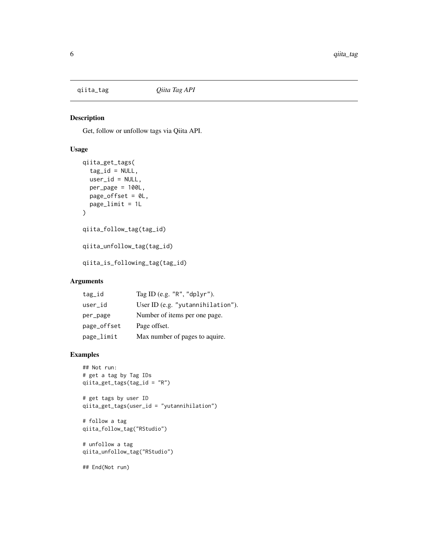<span id="page-5-0"></span>

Get, follow or unfollow tags via Qiita API.

#### Usage

```
qiita_get_tags(
  tag_id = NULL,user_id = NULL,per_page = 100L,
 page_offset = 0L,
 page_limit = 1L
\mathcal{L}qiita_follow_tag(tag_id)
qiita_unfollow_tag(tag_id)
qiita_is_following_tag(tag_id)
```
#### Arguments

| tag_id      | Tag ID (e.g. $"R"$ , $"dplyr"$ ). |
|-------------|-----------------------------------|
| user_id     | User ID (e.g. "yutannihilation"). |
| per_page    | Number of items per one page.     |
| page_offset | Page offset.                      |
| page_limit  | Max number of pages to aquire.    |

#### Examples

```
## Not run:
# get a tag by Tag IDs
qiita_get_tags(tag_id = "R")
# get tags by user ID
qiita_get_tags(user_id = "yutannihilation")
# follow a tag
qiita_follow_tag("RStudio")
# unfollow a tag
qiita_unfollow_tag("RStudio")
## End(Not run)
```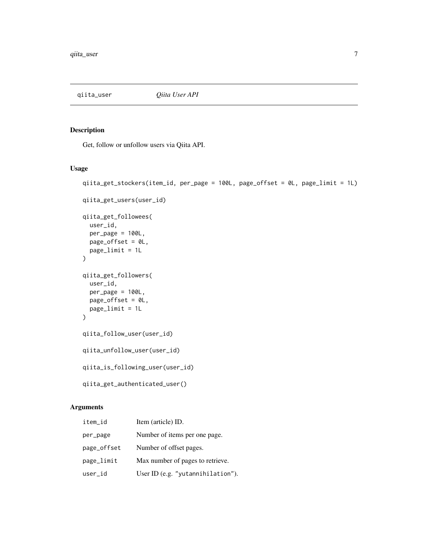<span id="page-6-0"></span>

Get, follow or unfollow users via Qiita API.

#### Usage

```
qiita_get_stockers(item_id, per_page = 100L, page_offset = 0L, page_limit = 1L)
qiita_get_users(user_id)
qiita_get_followees(
 user_id,
 per\_page = 100L,
 page_offset = 0L,
 page_limit = 1L
\lambdaqiita_get_followers(
 user_id,
 per_page = 100L,
 page_offset = 0L,page_limit = 1L
\mathcal{L}qiita_follow_user(user_id)
qiita_unfollow_user(user_id)
qiita_is_following_user(user_id)
qiita_get_authenticated_user()
```
#### Arguments

| item_id     | Item (article) ID.                |
|-------------|-----------------------------------|
| per_page    | Number of items per one page.     |
| page_offset | Number of offset pages.           |
| page_limit  | Max number of pages to retrieve.  |
| user_id     | User ID (e.g. "yutannihilation"). |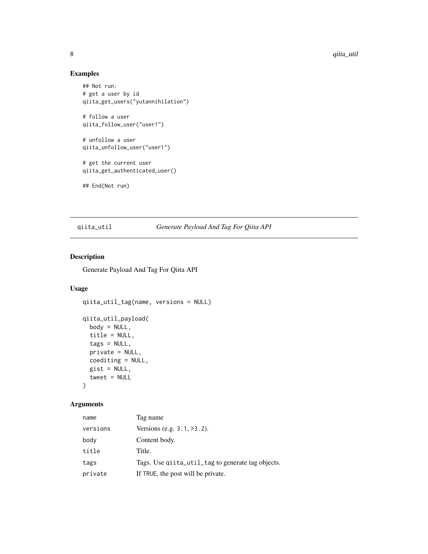#### Examples

```
## Not run:
# get a user by id
qiita_get_users("yutannihilation")
# follow a user
qiita_follow_user("user1")
# unfollow a user
qiita_unfollow_user("user1")
# get the current user
qiita_get_authenticated_user()
## End(Not run)
```
#### qiita\_util *Generate Payload And Tag For Qiita API*

#### Description

Generate Payload And Tag For Qiita API

#### Usage

```
qiita_util_tag(name, versions = NULL)
qiita_util_payload(
 body = NULL,title = NULL,
  tags = NULL,private = NULL,
 coediting = NULL,
  gist = NULL,tweet = NULL\lambda
```
#### Arguments

| name     | Tag name                                          |
|----------|---------------------------------------------------|
| versions | Versions (e.g. $3.1, >3.2$ ).                     |
| body     | Content body.                                     |
| title    | Title.                                            |
| tags     | Tags. Use quita_util_tag to generate tag objects. |
| private  | If TRUE, the post will be private.                |

<span id="page-7-0"></span>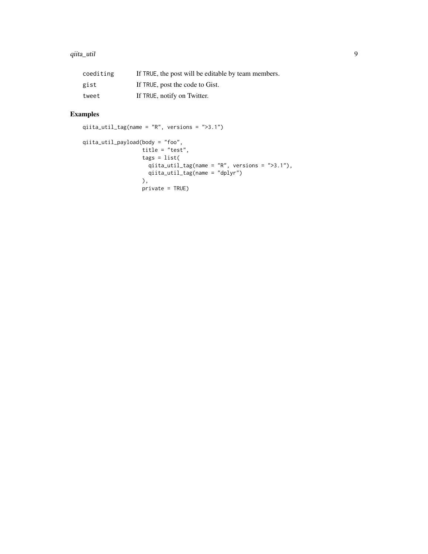#### qiita\_util 9

| coediting | If TRUE, the post will be editable by team members. |
|-----------|-----------------------------------------------------|
| gist      | If TRUE, post the code to Gist.                     |
| tweet     | If TRUE, notify on Twitter.                         |

#### Examples

```
qiita_util_tag(name = "R", versions = ">3.1")
qiita_util_payload(body = "foo",
                  title = "test",
                  tags = list(
                    qiita_util_tag(name = "R", versions = ">3.1"),
                    qiita_util_tag(name = "dplyr")
                  ),
                  private = TRUE)
```